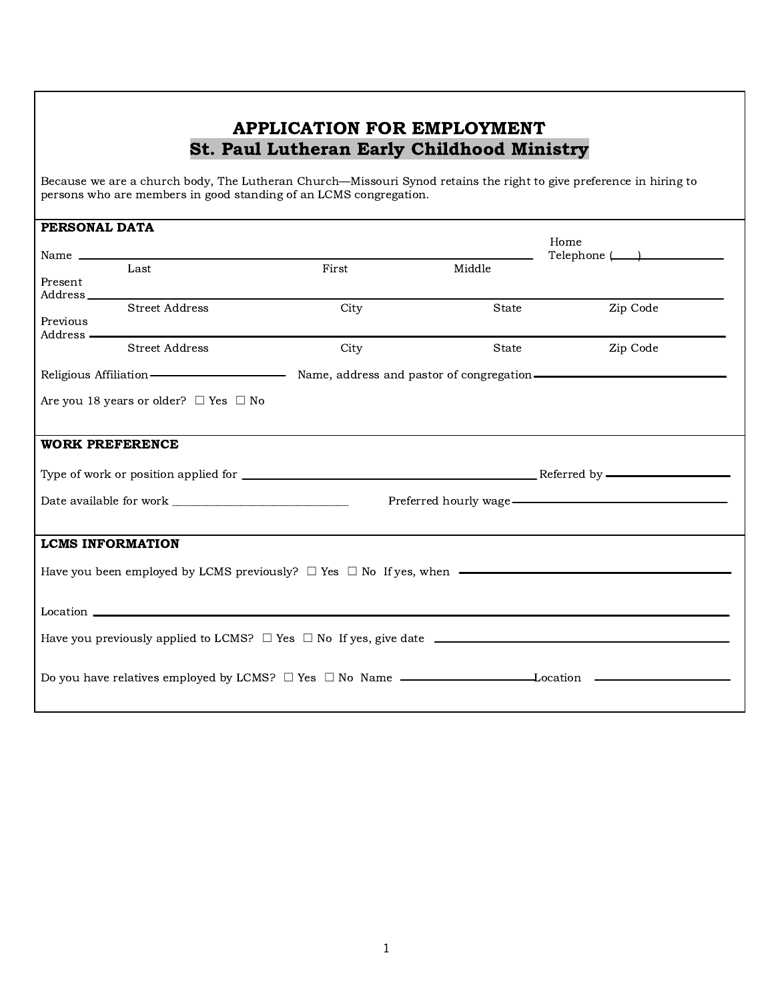### APPLICATION FOR EMPLOYMENT St. Paul Lutheran Early Childhood Ministry

Because we are a church body, The Lutheran Church—Missouri Synod retains the right to give preference in hiring to persons who are members in good standing of an LCMS congregation.

| PERSONAL DATA                                                                       |                                                                                                                             |       |        |          |  |  |  |
|-------------------------------------------------------------------------------------|-----------------------------------------------------------------------------------------------------------------------------|-------|--------|----------|--|--|--|
|                                                                                     |                                                                                                                             |       |        | Home     |  |  |  |
|                                                                                     |                                                                                                                             |       |        |          |  |  |  |
|                                                                                     | Last                                                                                                                        | First | Middle |          |  |  |  |
| Present                                                                             |                                                                                                                             |       |        |          |  |  |  |
| Address <sub>_____</sub>                                                            |                                                                                                                             |       |        |          |  |  |  |
|                                                                                     | <b>Street Address</b>                                                                                                       | City  | State  | Zip Code |  |  |  |
| Previous                                                                            |                                                                                                                             |       |        |          |  |  |  |
| Address —                                                                           |                                                                                                                             |       |        |          |  |  |  |
|                                                                                     | <b>Street Address</b>                                                                                                       | City  | State  | Zip Code |  |  |  |
|                                                                                     |                                                                                                                             |       |        |          |  |  |  |
|                                                                                     | Religious Affiliation — <b>Many Strategier Many America</b> Name, address and pastor of congregation — <b>Many American</b> |       |        |          |  |  |  |
|                                                                                     |                                                                                                                             |       |        |          |  |  |  |
|                                                                                     | Are you 18 years or older? $\Box$ Yes $\Box$ No                                                                             |       |        |          |  |  |  |
|                                                                                     |                                                                                                                             |       |        |          |  |  |  |
|                                                                                     |                                                                                                                             |       |        |          |  |  |  |
| <b>WORK PREFERENCE</b>                                                              |                                                                                                                             |       |        |          |  |  |  |
|                                                                                     |                                                                                                                             |       |        |          |  |  |  |
|                                                                                     |                                                                                                                             |       |        |          |  |  |  |
|                                                                                     |                                                                                                                             |       |        |          |  |  |  |
|                                                                                     |                                                                                                                             |       |        |          |  |  |  |
|                                                                                     |                                                                                                                             |       |        |          |  |  |  |
|                                                                                     |                                                                                                                             |       |        |          |  |  |  |
| <b>LCMS INFORMATION</b>                                                             |                                                                                                                             |       |        |          |  |  |  |
|                                                                                     |                                                                                                                             |       |        |          |  |  |  |
| Have you been employed by LCMS previously? $\Box$ Yes $\Box$ No If yes, when $\Box$ |                                                                                                                             |       |        |          |  |  |  |
|                                                                                     |                                                                                                                             |       |        |          |  |  |  |
|                                                                                     |                                                                                                                             |       |        |          |  |  |  |
|                                                                                     |                                                                                                                             |       |        |          |  |  |  |
|                                                                                     |                                                                                                                             |       |        |          |  |  |  |
|                                                                                     |                                                                                                                             |       |        |          |  |  |  |
|                                                                                     |                                                                                                                             |       |        |          |  |  |  |
|                                                                                     |                                                                                                                             |       |        |          |  |  |  |
|                                                                                     |                                                                                                                             |       |        |          |  |  |  |
|                                                                                     |                                                                                                                             |       |        |          |  |  |  |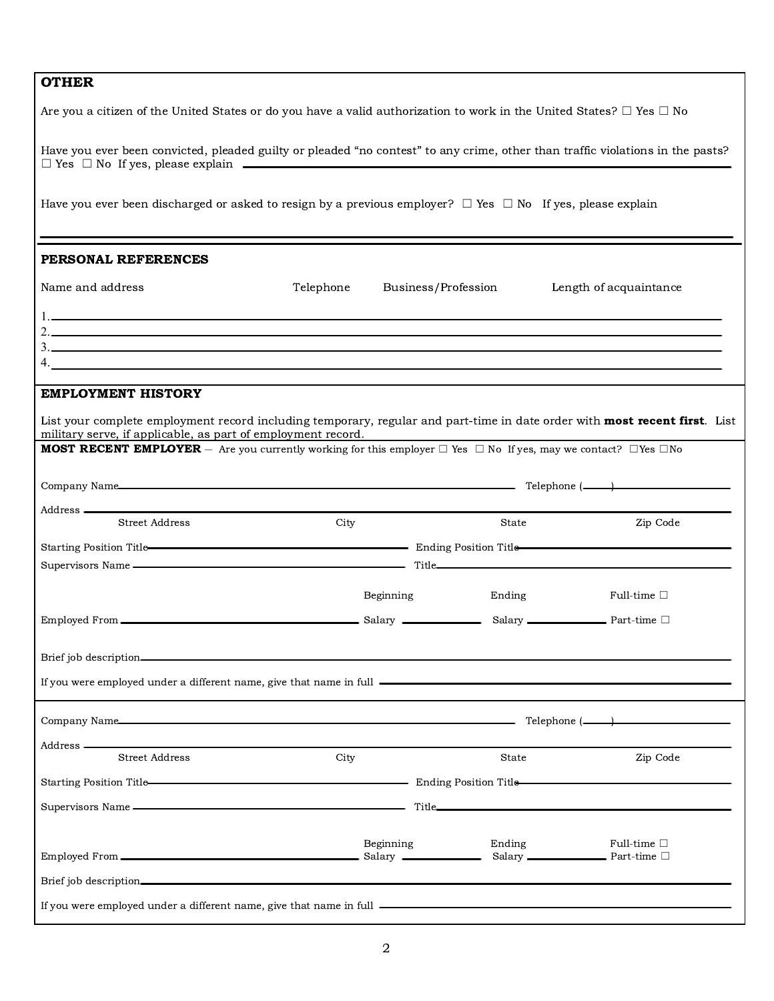#### **OTHER**

ı

| Are you a citizen of the United States or do you have a valid authorization to work in the United States? $\Box$ Yes $\Box$ No                                                                                                            |           |                     |                        |
|-------------------------------------------------------------------------------------------------------------------------------------------------------------------------------------------------------------------------------------------|-----------|---------------------|------------------------|
| Have you ever been convicted, pleaded guilty or pleaded "no contest" to any crime, other than traffic violations in the pasts?<br>$\Box$ Yes $\Box$ No If yes, please explain $\Box$                                                      |           |                     |                        |
| Have you ever been discharged or asked to resign by a previous employer? $\Box$ Yes $\Box$ No If yes, please explain                                                                                                                      |           |                     |                        |
| PERSONAL REFERENCES                                                                                                                                                                                                                       |           |                     |                        |
| Name and address                                                                                                                                                                                                                          | Telephone | Business/Profession | Length of acquaintance |
|                                                                                                                                                                                                                                           |           |                     |                        |
| $3.$ $\overline{\phantom{a}}$                                                                                                                                                                                                             |           |                     |                        |
| <b>EMPLOYMENT HISTORY</b>                                                                                                                                                                                                                 |           |                     |                        |
| List your complete employment record including temporary, regular and part-time in date order with most recent first. List<br>military serve, if applicable, as part of employment record.                                                |           |                     |                        |
| <b>MOST RECENT EMPLOYER</b> $-$ Are you currently working for this employer $\Box$ Yes $\Box$ No If yes, may we contact? $\Box$ Yes $\Box$ No                                                                                             |           |                     |                        |
|                                                                                                                                                                                                                                           |           |                     |                        |
| Street Address                                                                                                                                                                                                                            | City      | State               | Zip Code               |
| Starting Position Title-<br>Starting Position Title-<br>Starting Position Title-                                                                                                                                                          |           |                     |                        |
| Supervisors Name — Title <b>Example 2018</b> Title <b>Contract Contract Contract Contract Contract Contract Contract Contract Contract Contract Contract Contract Contract Contract Contract Contract Contract Contract Contract Cont</b> |           |                     |                        |
|                                                                                                                                                                                                                                           | Beginning | Ending              | Full-time $\square$    |
|                                                                                                                                                                                                                                           |           |                     |                        |
|                                                                                                                                                                                                                                           |           |                     |                        |
| If you were employed under a different name, give that name in full <b>example 200 and 200 minutes</b> and the set of the set of the set of the set of the set of the set of the set of the set of the set of the set of the set of       |           |                     |                        |
| Company Name $\qquad \qquad$ Telephone $(\_\_\_\_$                                                                                                                                                                                        |           |                     |                        |
| <b>Street Address</b>                                                                                                                                                                                                                     | City      | State               | Zip Code               |
|                                                                                                                                                                                                                                           |           |                     |                        |
|                                                                                                                                                                                                                                           |           |                     |                        |
|                                                                                                                                                                                                                                           |           |                     |                        |
|                                                                                                                                                                                                                                           | Beginning | Ending              | Full-time $\square$    |
|                                                                                                                                                                                                                                           |           |                     |                        |
| If you were employed under a different name, give that name in full ________________________________                                                                                                                                      |           |                     |                        |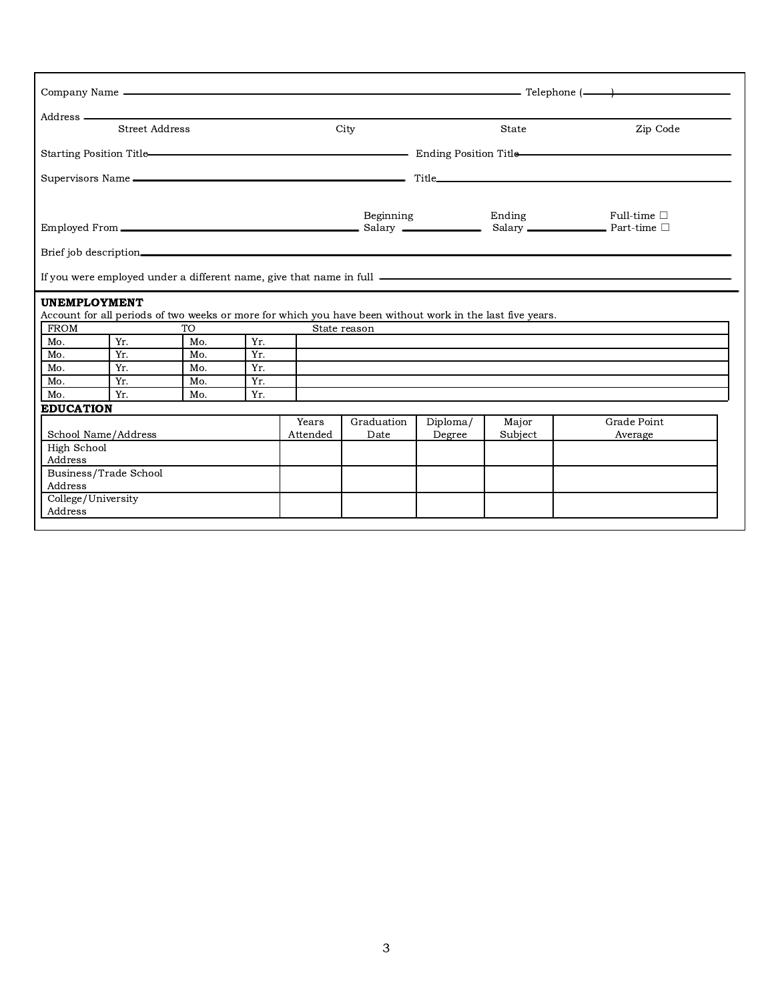| Company Name                     |                |                            |     |          |                                                                                                           | $\overline{\phantom{a}}$ Telephone ( $\overline{\phantom{a}}$ ) |         |                     |  |
|----------------------------------|----------------|----------------------------|-----|----------|-----------------------------------------------------------------------------------------------------------|-----------------------------------------------------------------|---------|---------------------|--|
|                                  |                | Address —————————————————— |     |          |                                                                                                           |                                                                 |         |                     |  |
|                                  | Street Address |                            |     |          | City                                                                                                      |                                                                 | State   | Zip Code            |  |
|                                  |                |                            |     |          |                                                                                                           |                                                                 |         |                     |  |
|                                  |                |                            |     |          |                                                                                                           |                                                                 |         |                     |  |
|                                  |                |                            |     |          |                                                                                                           |                                                                 | Ending  | Full-time $\square$ |  |
|                                  |                |                            |     |          | Beginning                                                                                                 |                                                                 |         |                     |  |
|                                  |                |                            |     |          |                                                                                                           |                                                                 |         |                     |  |
|                                  |                |                            |     |          |                                                                                                           |                                                                 |         |                     |  |
| <b>UNEMPLOYMENT</b>              |                |                            |     |          |                                                                                                           |                                                                 |         |                     |  |
|                                  |                |                            |     |          | Account for all periods of two weeks or more for which you have been without work in the last five years. |                                                                 |         |                     |  |
| FROM                             |                | TO <sub>1</sub>            |     |          | State reason                                                                                              |                                                                 |         |                     |  |
| Mo.                              | Yr.            | Mo.                        | Yr. |          |                                                                                                           |                                                                 |         |                     |  |
| Mo.                              | Yr.            | Mo.                        | Yr. |          |                                                                                                           |                                                                 |         |                     |  |
| Mo.                              | Yr.            | Mo.                        | Yr. |          |                                                                                                           |                                                                 |         |                     |  |
| Mo.                              | Yr.            | Mo.                        | Yr. |          |                                                                                                           |                                                                 |         |                     |  |
| Mo.                              | Yr.            | Mo.                        | Yr. |          |                                                                                                           |                                                                 |         |                     |  |
| <b>EDUCATION</b>                 |                |                            |     |          |                                                                                                           |                                                                 |         |                     |  |
|                                  |                |                            |     | Years    | Graduation                                                                                                | Diploma/                                                        | Major   | Grade Point         |  |
| School Name/Address              |                |                            |     | Attended | Date                                                                                                      | Degree                                                          | Subject | Average             |  |
| High School                      |                |                            |     |          |                                                                                                           |                                                                 |         |                     |  |
| Address                          |                |                            |     |          |                                                                                                           |                                                                 |         |                     |  |
| Business/Trade School<br>Address |                |                            |     |          |                                                                                                           |                                                                 |         |                     |  |
| College/University               |                |                            |     |          |                                                                                                           |                                                                 |         |                     |  |
| Address                          |                |                            |     |          |                                                                                                           |                                                                 |         |                     |  |
|                                  |                |                            |     |          |                                                                                                           |                                                                 |         |                     |  |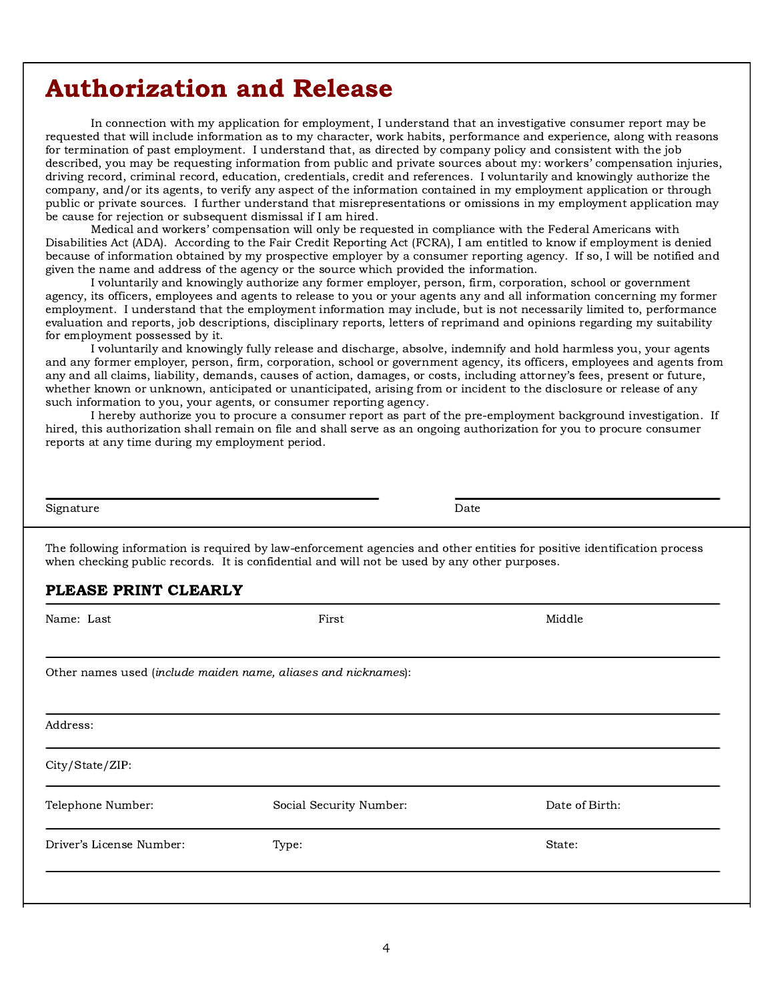## Authorization and Release

In connection with my application for employment, I understand that an investigative consumer report may be requested that will include information as to my character, work habits, performance and experience, along with reasons for termination of past employment. I understand that, as directed by company policy and consistent with the job described, you may be requesting information from public and private sources about my: workers' compensation injuries, driving record, criminal record, education, credentials, credit and references. I voluntarily and knowingly authorize the company, and/or its agents, to verify any aspect of the information contained in my employment application or through public or private sources. I further understand that misrepresentations or omissions in my employment application may be cause for rejection or subsequent dismissal if I am hired.

Medical and workers' compensation will only be requested in compliance with the Federal Americans with Disabilities Act (ADA). According to the Fair Credit Reporting Act (FCRA), I am entitled to know if employment is denied because of information obtained by my prospective employer by a consumer reporting agency. If so, I will be notified and given the name and address of the agency or the source which provided the information.

I voluntarily and knowingly authorize any former employer, person, firm, corporation, school or government agency, its officers, employees and agents to release to you or your agents any and all information concerning my former employment. I understand that the employment information may include, but is not necessarily limited to, performance evaluation and reports, job descriptions, disciplinary reports, letters of reprimand and opinions regarding my suitability for employment possessed by it.

I voluntarily and knowingly fully release and discharge, absolve, indemnify and hold harmless you, your agents and any former employer, person, firm, corporation, school or government agency, its officers, employees and agents from any and all claims, liability, demands, causes of action, damages, or costs, including attorney's fees, present or future, whether known or unknown, anticipated or unanticipated, arising from or incident to the disclosure or release of any such information to you, your agents, or consumer reporting agency.

I hereby authorize you to procure a consumer report as part of the pre-employment background investigation. If hired, this authorization shall remain on file and shall serve as an ongoing authorization for you to procure consumer reports at any time during my employment period.

Signature Date

The following information is required by law-enforcement agencies and other entities for positive identification process when checking public records. It is confidential and will not be used by any other purposes.

#### PLEASE PRINT CLEARLY

| Name: Last               | First                                                          | Middle         |  |  |  |  |  |  |
|--------------------------|----------------------------------------------------------------|----------------|--|--|--|--|--|--|
|                          | Other names used (include maiden name, aliases and nicknames): |                |  |  |  |  |  |  |
| Address:                 |                                                                |                |  |  |  |  |  |  |
| City/State/ZIP:          |                                                                |                |  |  |  |  |  |  |
| Telephone Number:        | Social Security Number:                                        | Date of Birth: |  |  |  |  |  |  |
| Driver's License Number: | Type:                                                          | State:         |  |  |  |  |  |  |
|                          |                                                                |                |  |  |  |  |  |  |